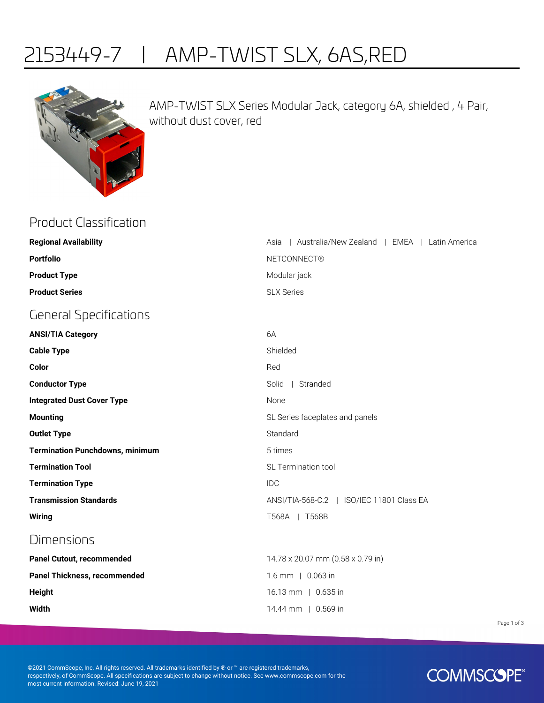## 2153449-7 | AMP-TWIST SLX, 6AS,RED



AMP-TWIST SLX Series Modular Jack, category 6A, shielded , 4 Pair, without dust cover, red

| <b>Product Classification</b>          |                                                      |
|----------------------------------------|------------------------------------------------------|
| <b>Regional Availability</b>           | Australia/New Zealand   EMEA   Latin America<br>Asia |
| <b>Portfolio</b>                       | <b>NETCONNECT®</b>                                   |
| <b>Product Type</b>                    | Modular jack                                         |
| <b>Product Series</b>                  | <b>SLX Series</b>                                    |
| <b>General Specifications</b>          |                                                      |
| <b>ANSI/TIA Category</b>               | 6A                                                   |
| <b>Cable Type</b>                      | Shielded                                             |
| Color                                  | Red                                                  |
| <b>Conductor Type</b>                  | Solid<br>  Stranded                                  |
| <b>Integrated Dust Cover Type</b>      | None                                                 |
| <b>Mounting</b>                        | SL Series faceplates and panels                      |
| <b>Outlet Type</b>                     | Standard                                             |
| <b>Termination Punchdowns, minimum</b> | 5 times                                              |
| <b>Termination Tool</b>                | SL Termination tool                                  |
| <b>Termination Type</b>                | <b>IDC</b>                                           |
| <b>Transmission Standards</b>          | ANSI/TIA-568-C.2   ISO/IEC 11801 Class EA            |
| Wiring                                 | T568A   T568B                                        |
| <b>Dimensions</b>                      |                                                      |
| <b>Panel Cutout, recommended</b>       | 14.78 x 20.07 mm (0.58 x 0.79 in)                    |
| <b>Panel Thickness, recommended</b>    | 1.6 mm   0.063 in                                    |
| Height                                 | 16.13 mm   0.635 in                                  |
| Width                                  | 14.44 mm   0.569 in                                  |
|                                        |                                                      |

Page 1 of 3

©2021 CommScope, Inc. All rights reserved. All trademarks identified by ® or ™ are registered trademarks, respectively, of CommScope. All specifications are subject to change without notice. See www.commscope.com for the most current information. Revised: June 19, 2021

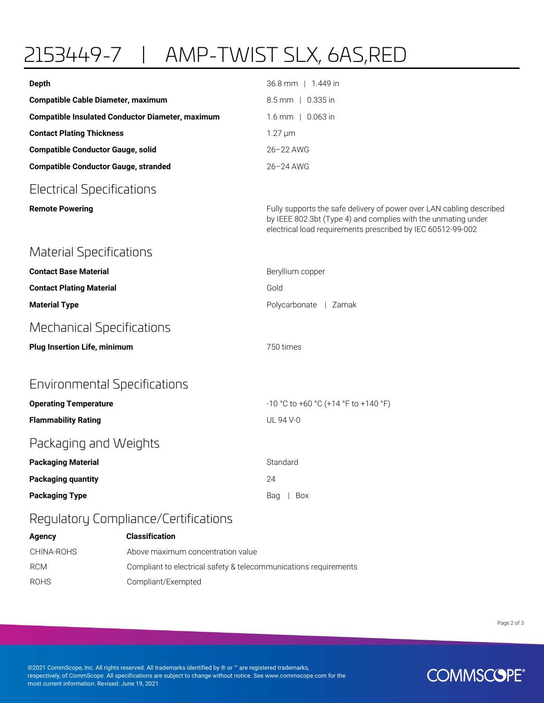## 2153449-7 | AMP-TWIST SLX, 6AS,RED

| <b>Depth</b>                                            | 36.8 mm   1.449 in                                                                                                                                                                                   |
|---------------------------------------------------------|------------------------------------------------------------------------------------------------------------------------------------------------------------------------------------------------------|
| <b>Compatible Cable Diameter, maximum</b>               | 8.5 mm   0.335 in                                                                                                                                                                                    |
| <b>Compatible Insulated Conductor Diameter, maximum</b> | $1.6$ mm $\mid$ 0.063 in                                                                                                                                                                             |
| <b>Contact Plating Thickness</b>                        | $1.27 \mu m$                                                                                                                                                                                         |
| <b>Compatible Conductor Gauge, solid</b>                | 26-22 AWG                                                                                                                                                                                            |
| <b>Compatible Conductor Gauge, stranded</b>             | 26-24 AWG                                                                                                                                                                                            |
| <b>Electrical Specifications</b>                        |                                                                                                                                                                                                      |
| <b>Remote Powering</b>                                  | Fully supports the safe delivery of power over LAN cabling described<br>by IEEE 802.3bt (Type 4) and complies with the unmating under<br>electrical load requirements prescribed by IEC 60512-99-002 |
| <b>Material Specifications</b>                          |                                                                                                                                                                                                      |
| <b>Contact Base Material</b>                            | Beryllium copper                                                                                                                                                                                     |
| <b>Contact Plating Material</b>                         | Gold                                                                                                                                                                                                 |
| <b>Material Type</b>                                    | Polycarbonate   Zamak                                                                                                                                                                                |
| <b>Mechanical Specifications</b>                        |                                                                                                                                                                                                      |
| <b>Plug Insertion Life, minimum</b>                     | 750 times                                                                                                                                                                                            |
| <b>Environmental Specifications</b>                     |                                                                                                                                                                                                      |
| <b>Operating Temperature</b>                            | -10 °C to +60 °C (+14 °F to +140 °F)                                                                                                                                                                 |
| <b>Flammability Rating</b>                              | UL 94 V-0                                                                                                                                                                                            |
| Packaging and Weights                                   |                                                                                                                                                                                                      |
| <b>Packaging Material</b>                               | Standard                                                                                                                                                                                             |
| <b>Packaging quantity</b>                               | 24                                                                                                                                                                                                   |
| <b>Packaging Type</b>                                   | Box<br>Bag                                                                                                                                                                                           |
| Regulatory Compliance/Certifications                    |                                                                                                                                                                                                      |

| Agency      | <b>Classification</b>                                            |
|-------------|------------------------------------------------------------------|
| CHINA-ROHS  | Above maximum concentration value                                |
| <b>RCM</b>  | Compliant to electrical safety & telecommunications requirements |
| <b>ROHS</b> | Compliant/Exempted                                               |

Page 2 of 3

©2021 CommScope, Inc. All rights reserved. All trademarks identified by ® or ™ are registered trademarks, respectively, of CommScope. All specifications are subject to change without notice. See www.commscope.com for the most current information. Revised: June 19, 2021